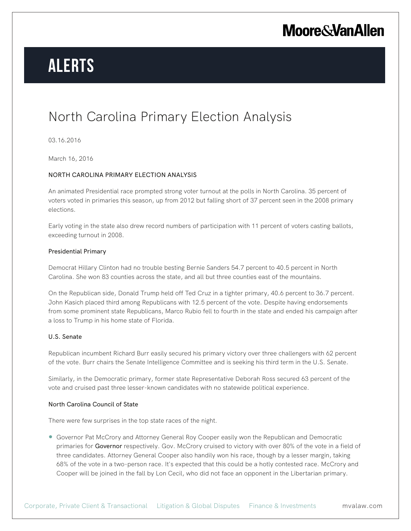# **Alerts**

## North Carolina Primary Election Analysis

03.16.2016

March 16, 2016

## NORTH CAROLINA PRIMARY ELECTION ANALYSIS

An animated Presidential race prompted strong voter turnout at the polls in North Carolina. 35 percent of voters voted in primaries this season, up from 2012 but falling short of 37 percent seen in the 2008 primary elections.

Early voting in the state also drew record numbers of participation with 11 percent of voters casting ballots, exceeding turnout in 2008.

#### Presidential Primary

Democrat Hillary Clinton had no trouble besting Bernie Sanders 54.7 percent to 40.5 percent in North Carolina. She won 83 counties across the state, and all but three counties east of the mountains.

On the Republican side, Donald Trump held off Ted Cruz in a tighter primary, 40.6 percent to 36.7 percent. John Kasich placed third among Republicans with 12.5 percent of the vote. Despite having endorsements from some prominent state Republicans, Marco Rubio fell to fourth in the state and ended his campaign after a loss to Trump in his home state of Florida.

### U.S. Senate

Republican incumbent Richard Burr easily secured his primary victory over three challengers with 62 percent of the vote. Burr chairs the Senate Intelligence Committee and is seeking his third term in the U.S. Senate.

Similarly, in the Democratic primary, former state Representative Deborah Ross secured 63 percent of the vote and cruised past three lesser-known candidates with no statewide political experience.

#### North Carolina Council of State

There were few surprises in the top state races of the night.

● Governor Pat McCrory and Attorney General Roy Cooper easily won the Republican and Democratic primaries for Governor respectively. Gov. McCrory cruised to victory with over 80% of the vote in a field of three candidates. Attorney General Cooper also handily won his race, though by a lesser margin, taking 68% of the vote in a two-person race. It's expected that this could be a hotly contested race. McCrory and Cooper will be joined in the fall by Lon Cecil, who did not face an opponent in the Libertarian primary.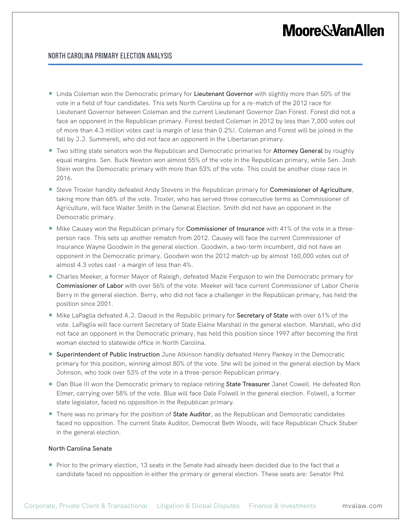## North Carolina Primary Election Analysis

- Linda Coleman won the Democratic primary for Lieutenant Governor with slightly more than 50% of the vote in a field of four candidates. This sets North Carolina up for a re-match of the 2012 race for Lieutenant Governor between Coleman and the current Lieutenant Governor Dan Forest. Forest did not a face an opponent in the Republican primary. Forest bested Coleman in 2012 by less than 7,000 votes out of more than 4.3 million votes cast (a margin of less than 0.2%). Coleman and Forest will be joined in the fall by J.J. Summerell, who did not face an opponent in the Libertarian primary.
- Two sitting state senators won the Republican and Democratic primaries for Attorney General by roughly equal margins. Sen. Buck Newton won almost 55% of the vote in the Republican primary, while Sen. Josh Stein won the Democratic primary with more than 53% of the vote. This could be another close race in 2016.
- Steve Troxler handily defeated Andy Stevens in the Republican primary for Commissioner of Agriculture, taking more than 68% of the vote. Troxler, who has served three consecutive terms as Commissioner of Agriculture, will face Walter Smith in the General Election. Smith did not have an opponent in the Democratic primary.
- Mike Causey won the Republican primary for Commissioner of Insurance with 41% of the vote in a threeperson race. This sets up another rematch from 2012. Causey will face the current Commissioner of Insurance Wayne Goodwin in the general election. Goodwin, a two-term incumbent, did not have an opponent in the Democratic primary. Goodwin won the 2012 match-up by almost 160,000 votes out of almost 4.3 votes cast - a margin of less than 4%.
- Charles Meeker, a former Mayor of Raleigh, defeated Mazie Ferguson to win the Democratic primary for Commissioner of Labor with over 56% of the vote. Meeker will face current Commissioner of Labor Cherie Berry in the general election. Berry, who did not face a challenger in the Republican primary, has held the position since 2001.
- Mike LaPaglia defeated A.J. Daoud in the Republic primary for Secretary of State with over 61% of the vote. LaPaglia will face current Secretary of State Elaine Marshall in the general election. Marshall, who did not face an opponent in the Democratic primary, has held this position since 1997 after becoming the first woman elected to statewide office in North Carolina.
- Superintendent of Public Instruction June Atkinson handily defeated Henry Pankey in the Democratic primary for this position, winning almost 80% of the vote. She will be joined in the general election by Mark Johnson, who took over 53% of the vote in a three-person Republican primary.
- Dan Blue III won the Democratic primary to replace retiring State Treasurer Janet Cowell. He defeated Ron Elmer, carrying over 58% of the vote. Blue will face Dale Folwell in the general election. Folwell, a former state legislator, faced no opposition in the Republican primary.
- There was no primary for the position of State Auditor, as the Republican and Democratic candidates faced no opposition. The current State Auditor, Democrat Beth Woods, will face Republican Chuck Stuber in the general election.

#### North Carolina Senate

● Prior to the primary election, 13 seats in the Senate had already been decided due to the fact that a candidate faced no opposition in either the primary or general election. These seats are: Senator Phil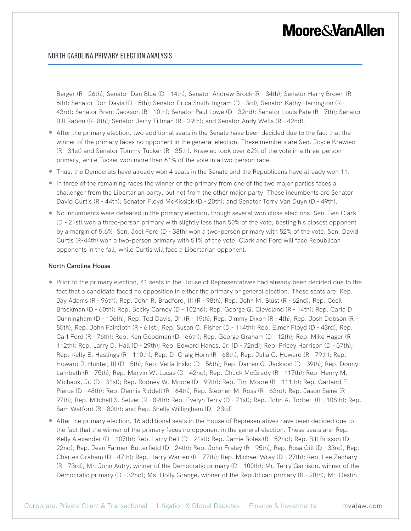## North Carolina Primary Election Analysis

Berger (R - 26th); Senator Dan Blue (D - 14th); Senator Andrew Brock (R - 34th); Senator Harry Brown (R - 6th); Senator Don Davis (D - 5th); Senator Erica Smith-Ingram (D - 3rd); Senator Kathy Harrington (R - 43rd); Senator Brent Jackson (R - 10th); Senator Paul Lowe (D - 32nd); Senator Louis Pate (R - 7th); Senator Bill Rabon (R-8th); Senator Jerry Tillman (R - 29th); and Senator Andy Wells (R - 42nd).

- After the primary election, two additional seats in the Senate have been decided due to the fact that the winner of the primary faces no opponent in the general election. These members are Sen. Joyce Krawiec (R - 31st) and Senator Tommy Tucker (R - 35th). Krawiec took over 62% of the vote in a three-person primary, while Tucker won more than 61% of the vote in a two-person race.
- Thus, the Democrats have already won 4 seats in the Senate and the Republicans have already won 11.
- In three of the remaining races the winner of the primary from one of the two major parties faces a challenger from the Libertarian party, but not from the other major party. These incumbents are Senator David Curtis (R - 44th); Senator Floyd McKissick (D - 20th); and Senator Terry Van Duyn (D - 49th).
- No incumbents were defeated in the primary election, though several won close elections. Sen. Ben Clark (D - 21st) won a three-person primary with slightly less than 50% of the vote, besting his closest opponent by a margin of 5.6%. Sen. Joel Ford (D - 38th) won a two-person primary with 52% of the vote. Sen. David Curtis (R-44th) won a two-person primary with 51% of the vote. Clark and Ford will face Republican opponents in the fall, while Curtis will face a Libertarian opponent.

#### North Carolina House

- Prior to the primary election, 41 seats in the House of Representatives had already been decided due to the fact that a candidate faced no opposition in either the primary or general election. These seats are: Rep. Jay Adams (R - 96th); Rep. John R. Bradford, III (R - 98th); Rep. John M. Blust (R - 62nd); Rep. Cecil Brockman (D - 60th); Rep. Becky Carney (D - 102nd); Rep. George G. Cleveland (R - 14th); Rep. Carla D. Cunningham (D - 106th); Rep. Ted Davis, Jr. (R - 19th); Rep. Jimmy Dixon (R - 4th); Rep. Josh Dobson (R - 85th); Rep. John Faircloth (R - 61st); Rep. Susan C. Fisher (D - 114th); Rep. Elmer Floyd (D - 43rd); Rep. Carl Ford (R - 76th); Rep. Ken Goodman (D - 66th); Rep. George Graham (D - 12th); Rep. Mike Hager (R - 112th); Rep. Larry D. Hall (D - 29th); Rep. Edward Hanes, Jr. (D - 72nd); Rep. Pricey Harrison (D - 57th); Rep. Kelly E. Hastings (R - 110th); Rep. D. Craig Horn (R - 68th); Rep. Julia C. Howard (R - 79th); Rep. Howard J. Hunter, III (D - 5th); Rep. Verla Insko (D - 56th); Rep. Darren G. Jackson (D - 39th); Rep. Donny Lambeth (R - 75th); Rep. Marvin W. Lucas (D - 42nd); Rep. Chuck McGrady (R - 117th); Rep. Henry M. Michaux, Jr. (D - 31st); Rep. Rodney W. Moore (D - 99th); Rep. Tim Moore (R - 111th); Rep. Garland E. Pierce (D - 48th); Rep. Dennis Riddell (R - 64th); Rep. Stephen M. Ross (R - 63rd); Rep. Jason Saine (R - 97th); Rep. Mitchell S. Setzer (R - 89th); Rep. Evelyn Terry (D - 71st); Rep. John A. Torbett (R - 108th); Rep. Sam Watford (R - 80th); and Rep. Shelly Willingham (D - 23rd).
- After the primary election, 16 additional seats in the House of Representatives have been decided due to the fact that the winner of the primary faces no opponent in the general election. These seats are: Rep. Kelly Alexander (D - 107th); Rep. Larry Bell (D - 21st); Rep. Jamie Boles (R - 52nd); Rep. Bill Brisson (D - 22nd); Rep. Jean Farmer-Butterfield (D - 24th); Rep. John Fraley (R - 95th); Rep. Rosa Gill (D - 33rd); Rep. Charles Graham (D - 47th); Rep. Harry Warren (R - 77th); Rep. Michael Wray (D - 27th); Rep. Lee Zachary (R - 73rd); Mr. John Autry, winner of the Democratic primary (D - 100th); Mr. Terry Garrison, winner of the Democratic primary (D - 32nd); Ms. Holly Grange, winner of the Republican primary (R - 20th); Mr. Destin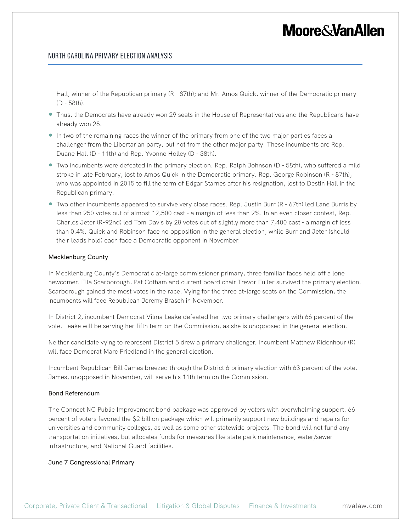## North Carolina Primary Election Analysis

Hall, winner of the Republican primary (R - 87th); and Mr. Amos Quick, winner of the Democratic primary (D - 58th).

- Thus, the Democrats have already won 29 seats in the House of Representatives and the Republicans have already won 28.
- In two of the remaining races the winner of the primary from one of the two major parties faces a challenger from the Libertarian party, but not from the other major party. These incumbents are Rep. Duane Hall (D - 11th) and Rep. Yvonne Holley (D - 38th).
- Two incumbents were defeated in the primary election. Rep. Ralph Johnson (D 58th), who suffered a mild stroke in late February, lost to Amos Quick in the Democratic primary. Rep. George Robinson (R - 87th), who was appointed in 2015 to fill the term of Edgar Starnes after his resignation, lost to Destin Hall in the Republican primary.
- Two other incumbents appeared to survive very close races. Rep. Justin Burr (R 67th) led Lane Burris by less than 250 votes out of almost 12,500 cast - a margin of less than 2%. In an even closer contest, Rep. Charles Jeter (R-92nd) led Tom Davis by 28 votes out of slightly more than 7,400 cast - a margin of less than 0.4%. Quick and Robinson face no opposition in the general election, while Burr and Jeter (should their leads hold) each face a Democratic opponent in November.

#### Mecklenburg County

In Mecklenburg County's Democratic at-large commissioner primary, three familiar faces held off a lone newcomer. Ella Scarborough, Pat Cotham and current board chair Trevor Fuller survived the primary election. Scarborough gained the most votes in the race. Vying for the three at-large seats on the Commission, the incumbents will face Republican Jeremy Brasch in November.

In District 2, incumbent Democrat Vilma Leake defeated her two primary challengers with 66 percent of the vote. Leake will be serving her fifth term on the Commission, as she is unopposed in the general election.

Neither candidate vying to represent District 5 drew a primary challenger. Incumbent Matthew Ridenhour (R) will face Democrat Marc Friedland in the general election.

Incumbent Republican Bill James breezed through the District 6 primary election with 63 percent of the vote. James, unopposed in November, will serve his 11th term on the Commission.

#### Bond Referendum

The Connect NC Public Improvement bond package was approved by voters with overwhelming support. 66 percent of voters favored the \$2 billion package which will primarily support new buildings and repairs for universities and community colleges, as well as some other statewide projects. The bond will not fund any transportation initiatives, but allocates funds for measures like state park maintenance, water/sewer infrastructure, and National Guard facilities.

#### June 7 Congressional Primary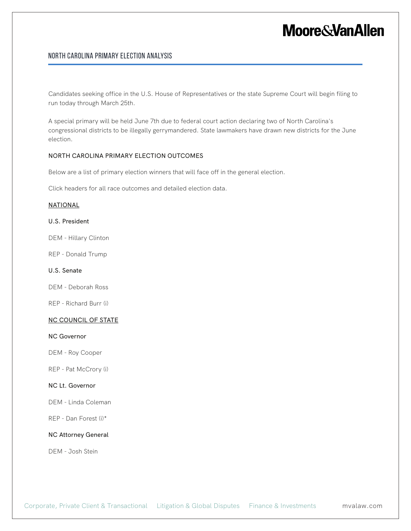## North Carolina Primary Election Analysis

Candidates seeking office in the U.S. House of Representatives or the state Supreme Court will begin filing to run today through March 25th.

A special primary will be held June 7th due to federal court action declaring two of North Carolina's congressional districts to be illegally gerrymandered. State lawmakers have drawn new districts for the June election.

### NORTH CAROLINA PRIMARY ELECTION OUTCOMES

Below are a list of primary election winners that will face off in the general election.

Click headers for all race outcomes and detailed election data.

#### NATIONAL

#### U.S. President

DEM - Hillary Clinton

REP - Donald Trump

#### U.S. Senate

DEM - Deborah Ross

REP - Richard Burr (i)

### NC COUNCIL OF STATE

#### NC Governor

DEM - Roy Cooper

REP - Pat McCrory (i)

### NC Lt. Governor

DEM - Linda Coleman

REP - Dan Forest (i)\*

#### NC Attorney General

DEM - Josh Stein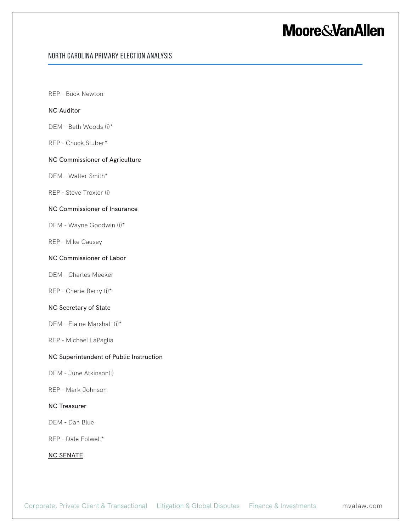## North Carolina Primary Election Analysis

REP - Buck Newton

## NC Auditor

DEM - Beth Woods (i)\*

REP - Chuck Stuber\*

#### NC Commissioner of Agriculture

DEM - Walter Smith\*

REP - Steve Troxler (i)

### NC Commissioner of Insurance

DEM - Wayne Goodwin (i)\*

REP - Mike Causey

## NC Commissioner of Labor

DEM - Charles Meeker

REP - Cherie Berry (i)\*

#### NC Secretary of State

DEM - Elaine Marshall (i)\*

REP - Michael LaPaglia

#### NC Superintendent of Public Instruction

DEM - June Atkinson(i)

REP - Mark Johnson

## NC Treasurer

DEM - Dan Blue

REP - Dale Folwell\*

## NC SENATE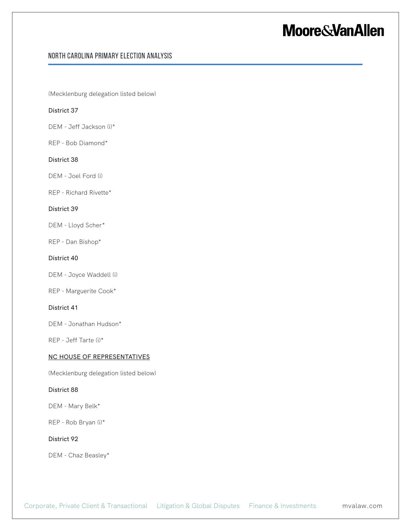## North Carolina Primary Election Analysis

(Mecklenburg delegation listed below)

## District 37

DEM - Jeff Jackson (i)\*

REP - Bob Diamond\*

## District 38

DEM - Joel Ford (i)

REP - Richard Rivette\*

### District 39

DEM - Lloyd Scher\*

REP - Dan Bishop\*

## District 40

DEM - Joyce Waddell (i)

REP - Marguerite Cook\*

### District 41

DEM - Jonathan Hudson\*

REP - Jeff Tarte (i)\*

## NC HOUSE OF REPRESENTATIVES

(Mecklenburg delegation listed below)

### District 88

DEM - Mary Belk\*

REP - Rob Bryan (i)\*

## District 92

DEM - Chaz Beasley\*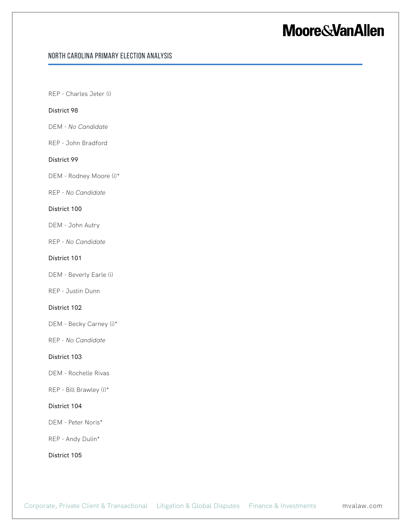## North Carolina Primary Election Analysis

REP - Charles Jeter (i)

## District 98

DEM - *No Candidate*

REP - John Bradford

## District 99

DEM - Rodney Moore (i)\*

REP - *No Candidate*

### District 100

DEM - John Autry

REP - *No Candidate*

## District 101

DEM - Beverly Earle (i)

REP - Justin Dunn

## District 102

DEM - Becky Carney (i)\*

REP - *No Candidate*

## District 103

DEM - Rochelle Rivas

REP - Bill Brawley (i)\*

## District 104

DEM - Peter Noris\*

REP - Andy Dulin\*

District 105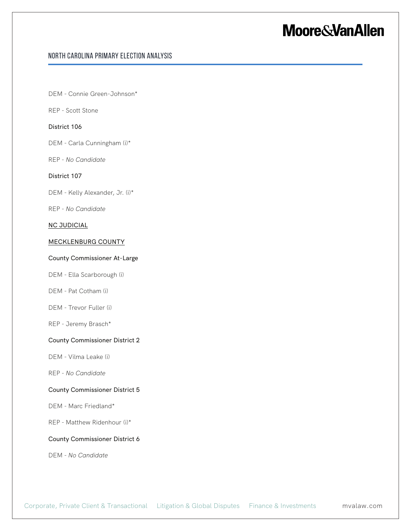## North Carolina Primary Election Analysis

DEM - Connie Green-Johnson\*

REP - Scott Stone

## District 106

DEM - Carla Cunningham (i)\*

REP - *No Candidate*

## District 107

DEM - Kelly Alexander, Jr. (i)\*

REP - *No Candidate*

### **NC JUDICIAL**

### MECKLENBURG COUNTY

## County Commissioner At-Large

- DEM Ella Scarborough (i)
- DEM Pat Cotham (i)
- DEM Trevor Fuller (i)
- REP Jeremy Brasch\*

#### County Commissioner District 2

DEM - Vilma Leake (i)

REP - *No Candidate*

#### County Commissioner District 5

DEM - Marc Friedland\*

REP - Matthew Ridenhour (i)\*

### County Commissioner District 6

DEM - *No Candidate*